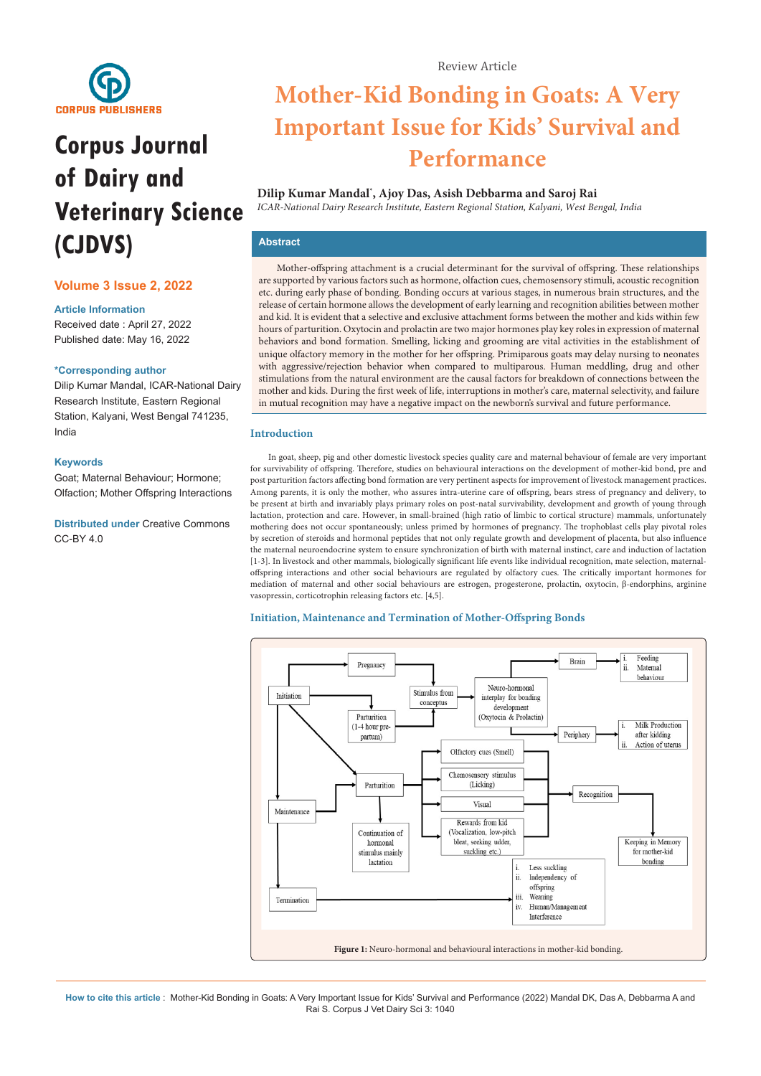

# **Corpus Journal of Dairy and Veterinary Science (CJDVS)**

# **Volume 3 Issue 2, 2022**

## **Article Information**

Received date : April 27, 2022 Published date: May 16, 2022

# **\*Corresponding author**

Dilip Kumar Mandal, ICAR-National Dairy Research Institute, Eastern Regional Station, Kalyani, West Bengal 741235, India

## **Keywords**

Goat; Maternal Behaviour; Hormone; Olfaction; Mother Offspring Interactions

**Distributed under** [Creative Commons](https://creativecommons.org/licenses/by/4.0/)  [CC-BY 4.0](https://creativecommons.org/licenses/by/4.0/)

# **Mother-Kid Bonding in Goats: A Very Important Issue for Kids' Survival and Performance**

# **Dilip Kumar Mandal\* , Ajoy Das, Asish Debbarma and Saroj Rai**

*ICAR-National Dairy Research Institute, Eastern Regional Station, Kalyani, West Bengal, India*

# **Abstract**

Mother-offspring attachment is a crucial determinant for the survival of offspring. These relationships are supported by various factors such as hormone, olfaction cues, chemosensory stimuli, acoustic recognition etc. during early phase of bonding. Bonding occurs at various stages, in numerous brain structures, and the release of certain hormone allows the development of early learning and recognition abilities between mother and kid. It is evident that a selective and exclusive attachment forms between the mother and kids within few hours of parturition. Oxytocin and prolactin are two major hormones play key roles in expression of maternal behaviors and bond formation. Smelling, licking and grooming are vital activities in the establishment of unique olfactory memory in the mother for her offspring. Primiparous goats may delay nursing to neonates with aggressive/rejection behavior when compared to multiparous. Human meddling, drug and other stimulations from the natural environment are the causal factors for breakdown of connections between the mother and kids. During the first week of life, interruptions in mother's care, maternal selectivity, and failure in mutual recognition may have a negative impact on the newborn's survival and future performance.

# **Introduction**

In goat, sheep, pig and other domestic livestock species quality care and maternal behaviour of female are very important for survivability of offspring. Therefore, studies on behavioural interactions on the development of mother-kid bond, pre and post parturition factors affecting bond formation are very pertinent aspects for improvement of livestock management practices. Among parents, it is only the mother, who assures intra-uterine care of offspring, bears stress of pregnancy and delivery, to be present at birth and invariably plays primary roles on post-natal survivability, development and growth of young through lactation, protection and care. However, in small-brained (high ratio of limbic to cortical structure) mammals, unfortunately mothering does not occur spontaneously; unless primed by hormones of pregnancy. The trophoblast cells play pivotal roles by secretion of steroids and hormonal peptides that not only regulate growth and development of placenta, but also influence the maternal neuroendocrine system to ensure synchronization of birth with maternal instinct, care and induction of lactation [1-3]. In livestock and other mammals, biologically significant life events like individual recognition, mate selection, maternaloffspring interactions and other social behaviours are regulated by olfactory cues. The critically important hormones for mediation of maternal and other social behaviours are estrogen, progesterone, prolactin, oxytocin, β-endorphins, arginine vasopressin, corticotrophin releasing factors etc. [4,5].

# **Initiation, Maintenance and Termination of Mother-Offspring Bonds**

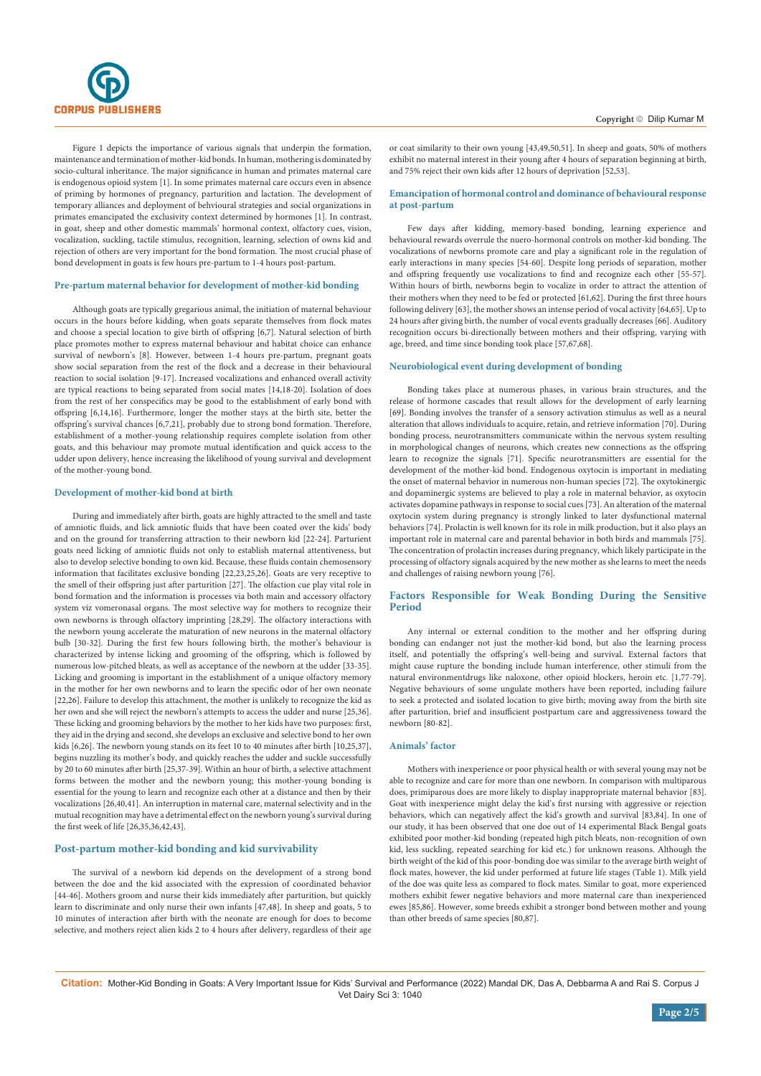

Figure 1 depicts the importance of various signals that underpin the formation, maintenance and termination of mother-kid bonds. In human, mothering is dominated by socio-cultural inheritance. The major significance in human and primates maternal care is endogenous opioid system [1]. In some primates maternal care occurs even in absence of priming by hormones of pregnancy, parturition and lactation. The development of temporary alliances and deployment of behvioural strategies and social organizations in primates emancipated the exclusivity context determined by hormones [1]. In contrast, in goat, sheep and other domestic mammals' hormonal context, olfactory cues, vision, vocalization, suckling, tactile stimulus, recognition, learning, selection of owns kid and rejection of others are very important for the bond formation. The most crucial phase of bond development in goats is few hours pre-partum to 1-4 hours post-partum.

### **Pre-partum maternal behavior for development of mother-kid bonding**

Although goats are typically gregarious animal, the initiation of maternal behaviour occurs in the hours before kidding, when goats separate themselves from flock mates and choose a special location to give birth of offspring [6,7]. Natural selection of birth place promotes mother to express maternal behaviour and habitat choice can enhance survival of newborn's [8]. However, between 1-4 hours pre-partum, pregnant goats show social separation from the rest of the flock and a decrease in their behavioural reaction to social isolation [9-17]. Increased vocalizations and enhanced overall activity are typical reactions to being separated from social mates [14,18-20]. Isolation of does from the rest of her conspecifics may be good to the establishment of early bond with offspring [6,14,16]. Furthermore, longer the mother stays at the birth site, better the offspring's survival chances [6,7,21], probably due to strong bond formation. Therefore, establishment of a mother-young relationship requires complete isolation from other goats, and this behaviour may promote mutual identification and quick access to the udder upon delivery, hence increasing the likelihood of young survival and development of the mother-young bond.

#### **Development of mother-kid bond at birth**

During and immediately after birth, goats are highly attracted to the smell and taste of amniotic fluids, and lick amniotic fluids that have been coated over the kids' body and on the ground for transferring attraction to their newborn kid [22-24]. Parturient goats need licking of amniotic fluids not only to establish maternal attentiveness, but also to develop selective bonding to own kid. Because, these fluids contain chemosensory information that facilitates exclusive bonding [22,23,25,26]. Goats are very receptive to the smell of their offspring just after parturition [27]. The olfaction cue play vital role in bond formation and the information is processes via both main and accessory olfactory system viz vomeronasal organs. The most selective way for mothers to recognize their own newborns is through olfactory imprinting [28,29]. The olfactory interactions with the newborn young accelerate the maturation of new neurons in the maternal olfactory bulb [30-32]. During the first few hours following birth, the mother's behaviour is characterized by intense licking and grooming of the offspring, which is followed by numerous low-pitched bleats, as well as acceptance of the newborn at the udder [33-35]. Licking and grooming is important in the establishment of a unique olfactory memory in the mother for her own newborns and to learn the specific odor of her own neonate [22,26]. Failure to develop this attachment, the mother is unlikely to recognize the kid as her own and she will reject the newborn's attempts to access the udder and nurse [25,36]. These licking and grooming behaviors by the mother to her kids have two purposes: first, they aid in the drying and second, she develops an exclusive and selective bond to her own kids [6,26]. The newborn young stands on its feet 10 to 40 minutes after birth [10,25,37], begins nuzzling its mother's body, and quickly reaches the udder and suckle successfully by 20 to 60 minutes after birth [25,37-39]. Within an hour of birth, a selective attachment forms between the mother and the newborn young; this mother-young bonding is essential for the young to learn and recognize each other at a distance and then by their vocalizations [26,40,41]. An interruption in maternal care, maternal selectivity and in the mutual recognition may have a detrimental effect on the newborn young's survival during the first week of life [26,35,36,42,43].

#### **Post-partum mother-kid bonding and kid survivability**

The survival of a newborn kid depends on the development of a strong bond between the doe and the kid associated with the expression of coordinated behavior [44-46]. Mothers groom and nurse their kids immediately after parturition, but quickly learn to discriminate and only nurse their own infants [47,48]. In sheep and goats, 5 to 10 minutes of interaction after birth with the neonate are enough for does to become selective, and mothers reject alien kids 2 to 4 hours after delivery, regardless of their age or coat similarity to their own young [43,49,50,51]. In sheep and goats, 50% of mothers exhibit no maternal interest in their young after 4 hours of separation beginning at birth, and 75% reject their own kids after 12 hours of deprivation [52,53].

#### **Emancipation of hormonal control and dominance of behavioural response at post-partum**

Few days after kidding, memory-based bonding, learning experience and behavioural rewards overrule the nuero-hormonal controls on mother-kid bonding. The vocalizations of newborns promote care and play a significant role in the regulation of early interactions in many species [54-60]. Despite long periods of separation, mother and offspring frequently use vocalizations to find and recognize each other [55-57]. Within hours of birth, newborns begin to vocalize in order to attract the attention of their mothers when they need to be fed or protected [61,62]. During the first three hours following delivery [63], the mother shows an intense period of vocal activity [64,65]. Up to 24 hours after giving birth, the number of vocal events gradually decreases [66]. Auditory recognition occurs bi-directionally between mothers and their offspring, varying with age, breed, and time since bonding took place [57,67,68].

#### **Neurobiological event during development of bonding**

Bonding takes place at numerous phases, in various brain structures, and the release of hormone cascades that result allows for the development of early learning [69]. Bonding involves the transfer of a sensory activation stimulus as well as a neural alteration that allows individuals to acquire, retain, and retrieve information [70]. During bonding process, neurotransmitters communicate within the nervous system resulting in morphological changes of neurons, which creates new connections as the offspring learn to recognize the signals [71]. Specific neurotransmitters are essential for the development of the mother-kid bond. Endogenous oxytocin is important in mediating the onset of maternal behavior in numerous non-human species [72]. The oxytokinergic and dopaminergic systems are believed to play a role in maternal behavior, as oxytocin activates dopamine pathways in response to social cues [73]. An alteration of the maternal oxytocin system during pregnancy is strongly linked to later dysfunctional maternal behaviors [74]. Prolactin is well known for its role in milk production, but it also plays an important role in maternal care and parental behavior in both birds and mammals [75]. The concentration of prolactin increases during pregnancy, which likely participate in the processing of olfactory signals acquired by the new mother as she learns to meet the needs and challenges of raising newborn young [76].

## **Factors Responsible for Weak Bonding During the Sensitive Period**

Any internal or external condition to the mother and her offspring during bonding can endanger not just the mother-kid bond, but also the learning process itself, and potentially the offspring's well-being and survival. External factors that might cause rupture the bonding include human interference, other stimuli from the natural environmentdrugs like naloxone, other opioid blockers, heroin etc. [1,77-79]. Negative behaviours of some ungulate mothers have been reported, including failure to seek a protected and isolated location to give birth; moving away from the birth site after parturition, brief and insufficient postpartum care and aggressiveness toward the newborn [80-82].

#### **Animals' factor**

Mothers with inexperience or poor physical health or with several young may not be able to recognize and care for more than one newborn. In comparison with multiparous does, primiparous does are more likely to display inappropriate maternal behavior [83]. Goat with inexperience might delay the kid's first nursing with aggressive or rejection behaviors, which can negatively affect the kid's growth and survival [83,84]. In one of our study, it has been observed that one doe out of 14 experimental Black Bengal goats exhibited poor mother-kid bonding (repeated high pitch bleats, non-recognition of own kid, less suckling, repeated searching for kid etc.) for unknown reasons. Although the birth weight of the kid of this poor-bonding doe was similar to the average birth weight of flock mates, however, the kid under performed at future life stages (Table 1). Milk yield of the doe was quite less as compared to flock mates. Similar to goat, more experienced mothers exhibit fewer negative behaviors and more maternal care than inexperienced ewes [85,86]. However, some breeds exhibit a stronger bond between mother and young than other breeds of same species [80,87].

**Citation:** Mother-Kid Bonding in Goats: A Very Important Issue for Kids' Survival and Performance (2022) Mandal DK, Das A, Debbarma A and Rai S. Corpus J Vet Dairy Sci 3: 1040

**Page 2/5**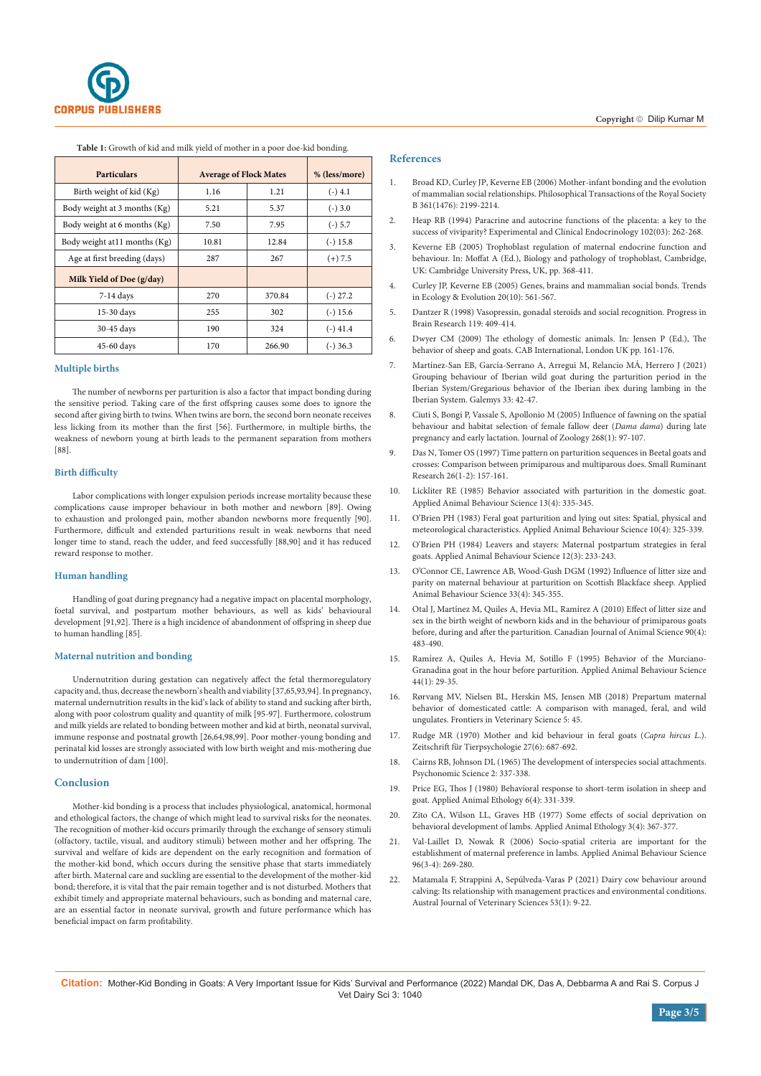

**Table 1:** Growth of kid and milk yield of mother in a poor doe-kid bonding.

| <b>Particulars</b>            | <b>Average of Flock Mates</b> |        | % (less/more) |
|-------------------------------|-------------------------------|--------|---------------|
| Birth weight of kid (Kg)      | 1.16                          | 1.21   | $(-)$ 4.1     |
| Body weight at 3 months (Kg)  | 5.21                          | 5.37   | $(-) 3.0$     |
| Body weight at 6 months (Kg)  | 7.50                          | 7.95   | $(-) 5.7$     |
| Body weight at 11 months (Kg) | 10.81                         | 12.84  | $(-) 15.8$    |
| Age at first breeding (days)  | 287                           | 267    | $(+) 7.5$     |
| Milk Yield of Doe (g/day)     |                               |        |               |
| 7-14 days                     | 270                           | 370.84 | $(-) 27.2$    |
| 15-30 days                    | 255                           | 302    | $(-) 15.6$    |
| 30-45 days                    | 190                           | 324    | $(-)$ 41.4    |
| 45-60 days                    | 170                           | 266.90 | $(-)36.3$     |

#### **Multiple births**

The number of newborns per parturition is also a factor that impact bonding during the sensitive period. Taking care of the first offspring causes some does to ignore the second after giving birth to twins. When twins are born, the second born neonate receives less licking from its mother than the first [56]. Furthermore, in multiple births, the weakness of newborn young at birth leads to the permanent separation from mothers [88].

# **Birth difficulty**

Labor complications with longer expulsion periods increase mortality because these complications cause improper behaviour in both mother and newborn [89]. Owing to exhaustion and prolonged pain, mother abandon newborns more frequently [90]. Furthermore, difficult and extended parturitions result in weak newborns that need longer time to stand, reach the udder, and feed successfully [88,90] and it has reduced reward response to mother.

#### **Human handling**

Handling of goat during pregnancy had a negative impact on placental morphology, foetal survival, and postpartum mother behaviours, as well as kids' behavioural development [91,92]. There is a high incidence of abandonment of offspring in sheep due to human handling [85].

#### **Maternal nutrition and bonding**

Undernutrition during gestation can negatively affect the fetal thermoregulatory capacity and, thus, decrease the newborn's health and viability [37,65,93,94]. In pregnancy, maternal undernutrition results in the kid's lack of ability to stand and sucking after birth, along with poor colostrum quality and quantity of milk [95-97]. Furthermore, colostrum and milk yields are related to bonding between mother and kid at birth, neonatal survival, immune response and postnatal growth [26,64,98,99]. Poor mother-young bonding and perinatal kid losses are strongly associated with low birth weight and mis-mothering due to undernutrition of dam [100].

# **Conclusion**

Mother-kid bonding is a process that includes physiological, anatomical, hormonal and ethological factors, the change of which might lead to survival risks for the neonates. The recognition of mother-kid occurs primarily through the exchange of sensory stimuli (olfactory, tactile, visual, and auditory stimuli) between mother and her offspring. The survival and welfare of kids are dependent on the early recognition and formation of the mother-kid bond, which occurs during the sensitive phase that starts immediately after birth. Maternal care and suckling are essential to the development of the mother-kid bond; therefore, it is vital that the pair remain together and is not disturbed. Mothers that exhibit timely and appropriate maternal behaviours, such as bonding and maternal care, are an essential factor in neonate survival, growth and future performance which has beneficial impact on farm profitability.

### **References**

- 1. Broad KD, Curley JP, Keverne EB (2006) Mother-infant bonding and the evolution of mammalian social relationships. Philosophical Transactions of the Royal Society B 361(1476): 2199-2214.
- 2. [Heap RB \(1994\) Paracrine and autocrine functions of the placenta: a key to the](https://pubmed.ncbi.nlm.nih.gov/7995348/)  [success of viviparity? Experimental and Clinical Endocrinology 102\(03\): 262-268.](https://pubmed.ncbi.nlm.nih.gov/7995348/)
- 3. Keverne EB (2005) Trophoblast regulation of maternal endocrine function and behaviour. In: Moffat A (Ed.), Biology and pathology of trophoblast, Cambridge, UK: Cambridge University Press, UK, pp. 368-411.
- 4. [Curley JP, Keverne EB \(2005\) Genes, brains and mammalian social bonds. Trends](https://www.sciencedirect.com/science/article/abs/pii/S0169534705001680)  [in Ecology & Evolution 20\(10\): 561-567.](https://www.sciencedirect.com/science/article/abs/pii/S0169534705001680)
- 5. [Dantzer R \(1998\) Vasopressin, gonadal steroids and social recognition. Progress in](https://www.sciencedirect.com/science/article/abs/pii/S0079612308615848)  [Brain Research 119: 409-414.](https://www.sciencedirect.com/science/article/abs/pii/S0079612308615848)
- 6. Dwyer CM (2009) The ethology of domestic animals. In: Jensen P (Ed.), The behavior of sheep and goats. CAB International, London UK pp. 161-176.
- 7. Martínez-San EB, García-Serrano A, Arregui M, Relancio MÁ, Herrero J (2021) Grouping behaviour of Iberian wild goat during the parturition period in the Iberian System/Gregarious behavior of the Iberian ibex during lambing in the Iberian System. Galemys 33: 42-47.
- 8. [Ciuti S, Bongi P, Vassale S, Apollonio M \(2005\) Influence of fawning on the spatial](https://zslpublications.onlinelibrary.wiley.com/doi/10.1111/j.1469-7998.2005.00003.x)  [behaviour and habitat selection of female fallow deer \(](https://zslpublications.onlinelibrary.wiley.com/doi/10.1111/j.1469-7998.2005.00003.x)*Dama dama*) during late [pregnancy and early lactation. Journal of Zoology 268\(1\): 97-107.](https://zslpublications.onlinelibrary.wiley.com/doi/10.1111/j.1469-7998.2005.00003.x)
- 9. Das N, Tomer OS (1997) Time pattern on parturition sequences in Beetal goats and crosses: Comparison between primiparous and multiparous does. Small Ruminant Research 26(1-2): 157-161.
- 10. [Lickliter RE \(1985\) Behavior associated with parturition in the domestic goat.](https://www.sciencedirect.com/science/article/abs/pii/0168159185900139)  [Applied Animal Behaviour Science 13\(4\): 335-345.](https://www.sciencedirect.com/science/article/abs/pii/0168159185900139)
- 11. O'Brien PH (1983) Feral goat parturition and lying out sites: Spatial, physical and meteorological characteristics. Applied Animal Behaviour Science 10(4): 325-339.
- 12. O'Brien PH (1984) Leavers and stayers: Maternal postpartum strategies in feral goats. Applied Animal Behaviour Science 12(3): 233-243.
- 13. [O'Connor CE, Lawrence AB, Wood-Gush DGM \(1992\) Influence of litter size and](https://www.sciencedirect.com/science/article/abs/pii/S0168159105800711)  [parity on maternal behaviour at parturition on Scottish Blackface sheep. Applied](https://www.sciencedirect.com/science/article/abs/pii/S0168159105800711)  [Animal Behaviour Science 33\(4\): 345-355.](https://www.sciencedirect.com/science/article/abs/pii/S0168159105800711)
- 14. Otal J, Martínez M, Quiles A, Hevia ML, Ramí[rez A \(2010\) Effect of litter size and](https://cdnsciencepub.com/doi/10.4141/cjas09108)  [sex in the birth weight of newborn kids and in the behaviour of primiparous goats](https://cdnsciencepub.com/doi/10.4141/cjas09108)  [before, during and after the parturition. Canadian Journal of Animal Science 90\(4\):](https://cdnsciencepub.com/doi/10.4141/cjas09108)  [483-490.](https://cdnsciencepub.com/doi/10.4141/cjas09108)
- 15. Ramí[rez A, Quiles A, Hevia M, Sotillo F \(1995\) Behavior of the Murciano-](https://www.sciencedirect.com/science/article/abs/pii/016815919500580L)[Granadina goat in the hour before parturition. Applied Animal Behaviour Science](https://www.sciencedirect.com/science/article/abs/pii/016815919500580L)  [44\(1\): 29-35.](https://www.sciencedirect.com/science/article/abs/pii/016815919500580L)
- 16. Rø[rvang MV, Nielsen BL, Herskin MS, Jensen MB \(2018\) Prepartum maternal](https://pubmed.ncbi.nlm.nih.gov/29594159/)  [behavior of domesticated cattle: A comparison with managed, feral, and wild](https://pubmed.ncbi.nlm.nih.gov/29594159/)  [ungulates. Frontiers in Veterinary Science 5: 45.](https://pubmed.ncbi.nlm.nih.gov/29594159/)
- 17. [Rudge MR \(1970\) Mother and kid behaviour in feral goats \(](https://onlinelibrary.wiley.com/doi/10.1111/j.1439-0310.1970.tb01895.x)*Capra hircus L*.). Zeitschrift fü[r Tierpsychologie 27\(6\): 687-692.](https://onlinelibrary.wiley.com/doi/10.1111/j.1439-0310.1970.tb01895.x)
- 18. [Cairns RB, Johnson DL \(1965\) The development of interspecies social attachments.](https://link.springer.com/article/10.3758/BF03343485)  [Psychonomic Science 2: 337-338.](https://link.springer.com/article/10.3758/BF03343485)
- 19. [Price EG, Thos J \(1980\) Behavioral response to short-term isolation in sheep and](https://www.sciencedirect.com/science/article/abs/pii/0304376280901339)  [goat. Applied Animal Ethology 6\(4\): 331-339.](https://www.sciencedirect.com/science/article/abs/pii/0304376280901339)
- 20. [Zito CA, Wilson LL, Graves HB \(1977\) Some effects of social deprivation on](https://www.sciencedirect.com/science/article/abs/pii/0304376277900608)  [behavioral development of lambs. Applied Animal Ethology 3\(4\): 367-377.](https://www.sciencedirect.com/science/article/abs/pii/0304376277900608)
- 21. [Val-Laillet D, Nowak R \(2006\) Socio-spatial criteria are important for the](https://www.sciencedirect.com/science/article/abs/pii/S0168159105002200)  [establishment of maternal preference in lambs. Applied Animal Behaviour Science](https://www.sciencedirect.com/science/article/abs/pii/S0168159105002200)  [96\(3-4\): 269-280.](https://www.sciencedirect.com/science/article/abs/pii/S0168159105002200)
- 22. Matamala F, Strappini A, Sepú[lveda-Varas P \(2021\) Dairy cow behaviour around](http://revistas.uach.cl/index.php/australjvs/article/view/6425)  [calving: Its relationship with management practices and environmental conditions.](http://revistas.uach.cl/index.php/australjvs/article/view/6425)  [Austral Journal of Veterinary Sciences 53\(1\): 9-22.](http://revistas.uach.cl/index.php/australjvs/article/view/6425)

**Citation:** Mother-Kid Bonding in Goats: A Very Important Issue for Kids' Survival and Performance (2022) Mandal DK, Das A, Debbarma A and Rai S. Corpus J Vet Dairy Sci 3: 1040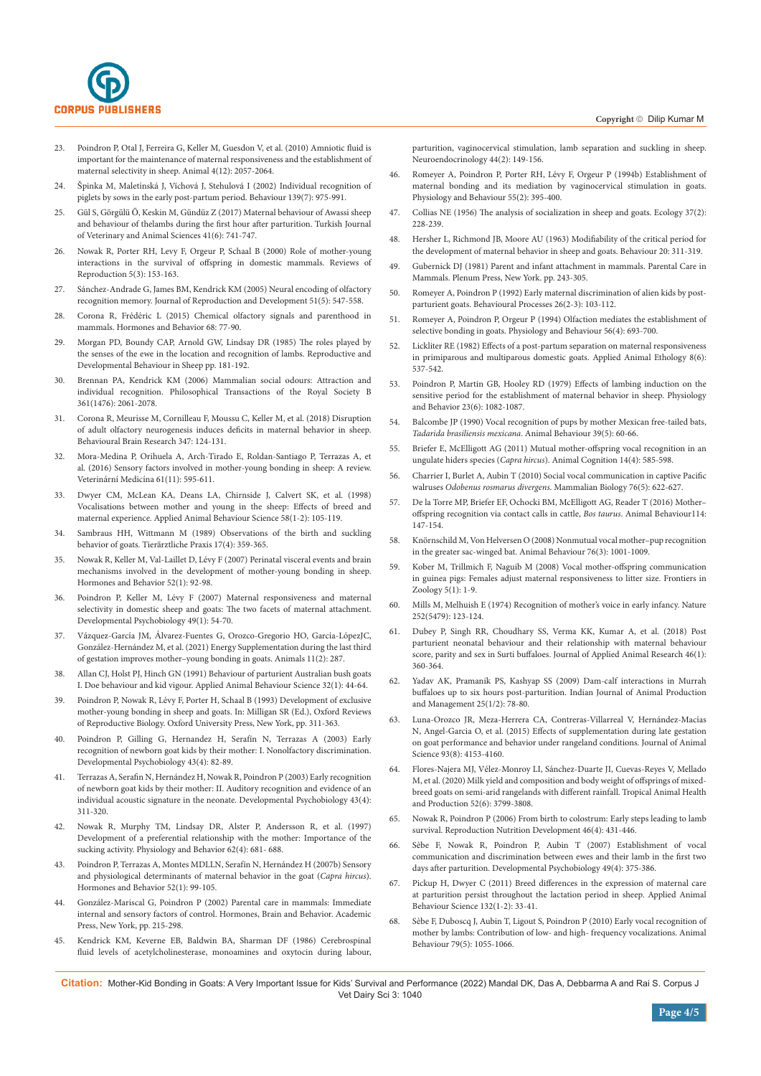

- 23. [Poindron P, Otal J, Ferreira G, Keller M, Guesdon V, et al. \(2010\) Amniotic fluid is](https://pubmed.ncbi.nlm.nih.gov/22445380/)  [important for the maintenance of maternal responsiveness and the establishment of](https://pubmed.ncbi.nlm.nih.gov/22445380/)  [maternal selectivity in sheep. Animal 4\(12\): 2057-2064.](https://pubmed.ncbi.nlm.nih.gov/22445380/)
- 24. Špinka M, Maletínská J, Víchová J, Stehulová I (2002) Individual recognition of piglets by sows in the early post-partum period. Behaviour 139(7): 975-991.
- 25. Gül S, Görgülü Ö, Keskin M, Gündüz Z (2017) Maternal behaviour of Awassi sheep and behaviour of thelambs during the first hour after parturition. Turkish Journal of Veterinary and Animal Sciences 41(6): 741-747.
- 26. [Nowak R, Porter RH, Levy F, Orgeur P, Schaal B \(2000\) Role of mother-young](https://pubmed.ncbi.nlm.nih.gov/11006165/)  [interactions in the survival of offspring in domestic mammals. Reviews of](https://pubmed.ncbi.nlm.nih.gov/11006165/)  [Reproduction 5\(3\): 153-163.](https://pubmed.ncbi.nlm.nih.gov/11006165/)
- 27. Sá[nchez-Andrade G, James BM, Kendrick KM \(2005\) Neural encoding of olfactory](https://www.jstage.jst.go.jp/article/jrd/51/5/51_5_547/_article)  [recognition memory. Journal of Reproduction and Development 51\(5\): 547-558.](https://www.jstage.jst.go.jp/article/jrd/51/5/51_5_547/_article)
- 28. Corona R, Frédé[ric L \(2015\) Chemical olfactory signals and parenthood in](https://pubmed.ncbi.nlm.nih.gov/25038290/)  [mammals. Hormones and Behavior 68: 77-90.](https://pubmed.ncbi.nlm.nih.gov/25038290/)
- 29. Morgan PD, Boundy CAP, Arnold GW, Lindsay DR (1985) The roles played by the senses of the ewe in the location and recognition of lambs. Reproductive and Developmental Behaviour in Sheep pp. 181-192.
- 30. [Brennan PA, Kendrick KM \(2006\) Mammalian social odours: Attraction and](https://pubmed.ncbi.nlm.nih.gov/17118924/)  [individual recognition. Philosophical Transactions of the Royal Society B](https://pubmed.ncbi.nlm.nih.gov/17118924/)  [361\(1476\): 2061-2078.](https://pubmed.ncbi.nlm.nih.gov/17118924/)
- 31. [Corona R, Meurisse M, Cornilleau F, Moussu C, Keller M, et al. \(2018\) Disruption](https://pubmed.ncbi.nlm.nih.gov/29501505/)  [of adult olfactory neurogenesis induces deficits in maternal behavior in sheep.](https://pubmed.ncbi.nlm.nih.gov/29501505/)  [Behavioural Brain Research 347: 124-131.](https://pubmed.ncbi.nlm.nih.gov/29501505/)
- 32. [Mora-Medina P, Orihuela A, Arch-Tirado E, Roldan-Santiago P, Terrazas A, et](https://www.agriculturejournals.cz/web/vetmed.htm?type=article&id=255_2014-VETMED)  [al. \(2016\) Sensory factors involved in mother-young bonding in sheep: A review.](https://www.agriculturejournals.cz/web/vetmed.htm?type=article&id=255_2014-VETMED)  Veterinární Medicí[na 61\(11\): 595-611.](https://www.agriculturejournals.cz/web/vetmed.htm?type=article&id=255_2014-VETMED)
- 33. [Dwyer CM, McLean KA, Deans LA, Chirnside J, Calvert SK, et al. \(1998\)](https://www.sciencedirect.com/science/article/abs/pii/S0168159197001135)  [Vocalisations between mother and young in the sheep: Effects of breed and](https://www.sciencedirect.com/science/article/abs/pii/S0168159197001135)  [maternal experience. Applied Animal Behaviour Science 58\(1-2\): 105-119.](https://www.sciencedirect.com/science/article/abs/pii/S0168159197001135)
- 34. [Sambraus HH, Wittmann M \(1989\) Observations of the birth and suckling](https://pubmed.ncbi.nlm.nih.gov/2617523/)  behavior of goats. Tierä[rztliche Praxis 17\(4\): 359-365.](https://pubmed.ncbi.nlm.nih.gov/2617523/)
- 35. Nowak R, Keller M, Val-Laillet D, Lé[vy F \(2007\) Perinatal visceral events and brain](https://www.sciencedirect.com/science/article/abs/pii/S0018506X07000657)  [mechanisms involved in the development of mother-young bonding in sheep.](https://www.sciencedirect.com/science/article/abs/pii/S0018506X07000657)  [Hormones and Behavior 52\(1\): 92-98.](https://www.sciencedirect.com/science/article/abs/pii/S0018506X07000657)
- 36. Poindron P, Keller M, Lé[vy F \(2007\) Maternal responsiveness and maternal](https://pubmed.ncbi.nlm.nih.gov/17186516/)  [selectivity in domestic sheep and goats: The two facets of maternal attachment.](https://pubmed.ncbi.nlm.nih.gov/17186516/)  [Developmental Psychobiology 49\(1\): 54-70.](https://pubmed.ncbi.nlm.nih.gov/17186516/)
- 37. Vázquez-García JM, Á[lvarez-Fuentes G, Orozco-Gregorio HO, Garc](https://pubmed.ncbi.nlm.nih.gov/33498774/)ía-LópezJC, González-Herná[ndez M, et al. \(2021\) Energy Supplementation during the last third](https://pubmed.ncbi.nlm.nih.gov/33498774/)  [of gestation improves mother–young bonding in goats. Animals 11\(2\): 287.](https://pubmed.ncbi.nlm.nih.gov/33498774/)
- 38. [Allan CJ, Holst PJ, Hinch GN \(1991\) Behaviour of parturient Australian bush goats](https://www.sciencedirect.com/science/article/abs/pii/S0168159105801637)  [I. Doe behaviour and kid vigour. Applied Animal Behaviour Science 32\(1\): 44-64.](https://www.sciencedirect.com/science/article/abs/pii/S0168159105801637)
- 39. Poindron P, Nowak R, Lévy F, Porter H, Schaal B (1993) Development of exclusive mother-young bonding in sheep and goats. In: Milligan SR (Ed.), Oxford Reviews of Reproductive Biology. Oxford University Press, New York, pp. 311-363.
- 40. [Poindron P, Gilling G, Hernandez H, Serafín N, Terrazas A \(2003\) Early](https://pubmed.ncbi.nlm.nih.gov/12918087/)  [recognition of newborn goat kids by their mother: I. Nonolfactory discrimination.](https://pubmed.ncbi.nlm.nih.gov/12918087/)  [Developmental Psychobiology 43\(4\): 82-89.](https://pubmed.ncbi.nlm.nih.gov/12918087/)
- 41. Terrazas A, Serafin N, Herná[ndez H, Nowak R, Poindron P \(2003\) Early recognition](https://onlinelibrary.wiley.com/doi/10.1002/dev.10139)  [of newborn goat kids by their mother: II. Auditory recognition and evidence of an](https://onlinelibrary.wiley.com/doi/10.1002/dev.10139)  [individual acoustic signature in the neonate. Developmental Psychobiology 43\(4\):](https://onlinelibrary.wiley.com/doi/10.1002/dev.10139)  [311-320.](https://onlinelibrary.wiley.com/doi/10.1002/dev.10139)
- 42. [Nowak R, Murphy TM, Lindsay DR, Alster P, Andersson R, et al. \(1997\)](https://pubmed.ncbi.nlm.nih.gov/9284484/)  [Development of a preferential relationship with the mother: Importance of the](https://pubmed.ncbi.nlm.nih.gov/9284484/)  [sucking activity. Physiology and Behavior 62\(4\): 681- 688.](https://pubmed.ncbi.nlm.nih.gov/9284484/)
- 43. [Poindron P, Terrazas A, Montes MDLLN, Serafín N, Hern](https://pubmed.ncbi.nlm.nih.gov/17482617/)ández H (2007b) Sensory [and physiological determinants of maternal behavior in the goat \(](https://pubmed.ncbi.nlm.nih.gov/17482617/)*Capra hircus*). [Hormones and Behavior 52\(1\): 99-105.](https://pubmed.ncbi.nlm.nih.gov/17482617/)
- 44. González-Mariscal G, Poindron P (2002) Parental care in mammals: Immediate internal and sensory factors of control. Hormones, Brain and Behavior. Academic Press, New York, pp. 215-298.
- 45. [Kendrick KM, Keverne EB, Baldwin BA, Sharman DF \(1986\) Cerebrospinal](https://pubmed.ncbi.nlm.nih.gov/3796790/)  [fluid levels of acetylcholinesterase, monoamines and oxytocin during labour,](https://pubmed.ncbi.nlm.nih.gov/3796790/)

[parturition, vaginocervical stimulation, lamb separation and suckling in sheep.](https://pubmed.ncbi.nlm.nih.gov/3796790/)  [Neuroendocrinology 44\(2\): 149-156.](https://pubmed.ncbi.nlm.nih.gov/3796790/)

- 46. Romeyer A, Poindron P, Porter RH, Lé[vy F, Orgeur P \(1994b\) Establishment of](https://www.sciencedirect.com/science/article/abs/pii/0031938494901538)  [maternal bonding and its mediation by vaginocervical stimulation in goats.](https://www.sciencedirect.com/science/article/abs/pii/0031938494901538)  [Physiology and Behaviour 55\(2\): 395-400.](https://www.sciencedirect.com/science/article/abs/pii/0031938494901538)
- 47. [Collias NE \(1956\) The analysis of socialization in sheep and goats. Ecology 37\(2\):](https://esajournals.onlinelibrary.wiley.com/doi/abs/10.2307/1933135)  [228-239.](https://esajournals.onlinelibrary.wiley.com/doi/abs/10.2307/1933135)
- 48. Hersher L, Richmond JB, Moore AU (1963) Modifiability of the critical period for the development of maternal behavior in sheep and goats. Behaviour 20: 311-319.
- 49. Gubernick DJ (1981) Parent and infant attachment in mammals. Parental Care in Mammals. Plenum Press, New York. pp. 243-305.
- 50. [Romeyer A, Poindron P \(1992\) Early maternal discrimination of alien kids by post](https://pubmed.ncbi.nlm.nih.gov/24924321/)[parturient goats. Behavioural Processes 26\(2-3\): 103-112.](https://pubmed.ncbi.nlm.nih.gov/24924321/)
- 51. [Romeyer A, Poindron P, Orgeur P \(1994\) Olfaction mediates the establishment of](https://www.sciencedirect.com/science/article/abs/pii/0031938494902291)  [selective bonding in goats. Physiology and Behaviour 56\(4\): 693-700.](https://www.sciencedirect.com/science/article/abs/pii/0031938494902291)
- 52. Lickliter RE (1982) Effects of a post-partum separation on maternal responsiveness in primiparous and multiparous domestic goats. Applied Animal Ethology 8(6): 537-542.
- 53. Poindron P, Martin GB, Hooley RD (1979) Effects of lambing induction on the sensitive period for the establishment of maternal behavior in sheep. Physiology and Behavior 23(6): 1082-1087.
- 54. [Balcombe JP \(1990\) Vocal recognition of pups by mother Mexican free-tailed bats,](https://www.sciencedirect.com/science/article/abs/pii/S0003347205809613)  *Tadarida brasiliensis mexicana*[. Animal Behaviour 39\(5\): 60-66.](https://www.sciencedirect.com/science/article/abs/pii/S0003347205809613)
- 55. [Briefer E, McElligott AG \(2011\) Mutual mother-offspring vocal recognition in an](https://pubmed.ncbi.nlm.nih.gov/21503689/)  ungulate hiders species (*Capra hircus*[\). Animal Cognition 14\(4\): 585-598.](https://pubmed.ncbi.nlm.nih.gov/21503689/)
- 56. [Charrier I, Burlet A, Aubin T \(2010\) Social vocal communication in captive Pacific](https://www.sciencedirect.com/science/article/abs/pii/S1616504710001266)  walruses *Odobenus rosmarus divergens*[. Mammalian Biology 76\(5\): 622-627.](https://www.sciencedirect.com/science/article/abs/pii/S1616504710001266)
- 57. [De la Torre MP, Briefer EF, Ochocki BM, McElligott AG, Reader T \(2016\) Mother–](https://www.sciencedirect.com/science/article/abs/pii/S0003347216000440) [offspring recognition via contact calls in cattle,](https://www.sciencedirect.com/science/article/abs/pii/S0003347216000440) *Bos taurus*. Animal Behaviour114: [147-154.](https://www.sciencedirect.com/science/article/abs/pii/S0003347216000440)
- 58. Knö[rnschild M, Von Helversen O \(2008\) Nonmutual vocal mother–pup recognition](https://www.sciencedirect.com/science/article/abs/pii/S0003347208002480)  [in the greater sac-winged bat. Animal Behaviour 76\(3\): 1001-1009.](https://www.sciencedirect.com/science/article/abs/pii/S0003347208002480)
- 59. [Kober M, Trillmich F, Naguib M \(2008\) Vocal mother-offspring communication](https://frontiersinzoology.biomedcentral.com/articles/10.1186/1742-9994-5-13)  [in guinea pigs: Females adjust maternal responsiveness to litter size. Frontiers in](https://frontiersinzoology.biomedcentral.com/articles/10.1186/1742-9994-5-13)  [Zoology 5\(1\): 1-9.](https://frontiersinzoology.biomedcentral.com/articles/10.1186/1742-9994-5-13)
- 60. Mills M, Melhuish E (1974) Recognition of mother's voice in early infancy. Nature 252(5479): 123-124.
- 61. [Dubey P, Singh RR, Choudhary SS, Verma KK, Kumar A, et al. \(2018\) Post](https://www.tandfonline.com/doi/full/10.1080/09712119.2017.1306533)  [parturient neonatal behaviour and their relationship with maternal behaviour](https://www.tandfonline.com/doi/full/10.1080/09712119.2017.1306533)  [score, parity and sex in Surti buffaloes. Journal of Applied Animal Research 46\(1\):](https://www.tandfonline.com/doi/full/10.1080/09712119.2017.1306533)  [360-364.](https://www.tandfonline.com/doi/full/10.1080/09712119.2017.1306533)
- 62. Yadav AK, Pramanik PS, Kashyap SS (2009) Dam-calf interactions in Murrah buffaloes up to six hours post-parturition. Indian Journal of Animal Production and Management 25(1/2): 78-80.
- 63. [Luna-Orozco JR, Meza-Herrera CA, Contreras-Villarreal V, Hern](https://pubmed.ncbi.nlm.nih.gov/26440195/)ández-Macías [N, Angel-Garcia O, et al. \(2015\) Effects of supplementation during late gestation](https://pubmed.ncbi.nlm.nih.gov/26440195/)  [on goat performance and behavior under rangeland conditions. Journal of Animal](https://pubmed.ncbi.nlm.nih.gov/26440195/)  [Science 93\(8\): 4153-4160.](https://pubmed.ncbi.nlm.nih.gov/26440195/)
- 64. Flores-Najera MJ, Vélez-Monroy LI, Sánchez-Duarte JI, Cuevas-Reyes V, Mellado M, et al. (2020) Milk yield and composition and body weight of offsprings of mixedbreed goats on semi-arid rangelands with different rainfall. Tropical Animal Health and Production 52(6): 3799-3808.
- 65. [Nowak R, Poindron P \(2006\) From birth to colostrum: Early steps leading to lamb](https://pubmed.ncbi.nlm.nih.gov/16824451/)  [survival. Reproduction Nutrition Development 46\(4\): 431-446.](https://pubmed.ncbi.nlm.nih.gov/16824451/)
- 66. Sè[be F, Nowak R, Poindron P, Aubin T \(2007\) Establishment of vocal](https://pubmed.ncbi.nlm.nih.gov/17455235/)  [communication and discrimination between ewes and their lamb in the first two](https://pubmed.ncbi.nlm.nih.gov/17455235/)  [days after parturition. Developmental Psychobiology 49\(4\): 375-386.](https://pubmed.ncbi.nlm.nih.gov/17455235/)
- 67. [Pickup H, Dwyer C \(2011\) Breed differences in the expression of maternal care](https://www.cabdirect.org/cabdirect/abstract/20113185558)  [at parturition persist throughout the lactation period in sheep. Applied Animal](https://www.cabdirect.org/cabdirect/abstract/20113185558)  [Behaviour Science 132\(1-2\): 33-41.](https://www.cabdirect.org/cabdirect/abstract/20113185558)
- 68. Sè[be F, Duboscq J, Aubin T, Ligout S, Poindron P \(2010\) Early vocal recognition of](https://www.sciencedirect.com/science/article/abs/pii/S0003347210000436)  [mother by lambs: Contribution of low- and high- frequency vocalizations. Animal](https://www.sciencedirect.com/science/article/abs/pii/S0003347210000436)  [Behaviour 79\(5\): 1055-1066.](https://www.sciencedirect.com/science/article/abs/pii/S0003347210000436)

**Citation:** Mother-Kid Bonding in Goats: A Very Important Issue for Kids' Survival and Performance (2022) Mandal DK, Das A, Debbarma A and Rai S. Corpus J Vet Dairy Sci 3: 1040